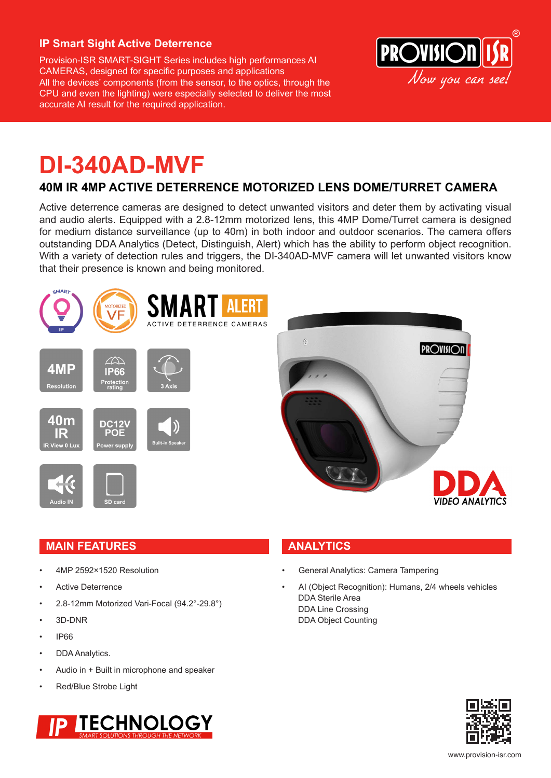#### **IP Smart Sight Active Deterrence**

Provision-ISR SMART-SIGHT Series includes high performances AI CAMERAS, designed for specific purposes and applications All the devices' components (from the sensor, to the optics, through the CPU and even the lighting) were especially selected to deliver the most accurate AI result for the required application.



## **DI-340AD-MVF**

### **40M IR 4MP ACTIVE DETERRENCE MOTORIZED LENS DOME/TURRET CAMERA**

Active deterrence cameras are designed to detect unwanted visitors and deter them by activating visual and audio alerts. Equipped with a 2.8-12mm motorized lens, this 4MP Dome/Turret camera is designed for medium distance surveillance (up to 40m) in both indoor and outdoor scenarios. The camera offers outstanding DDA Analytics (Detect, Distinguish, Alert) which has the ability to perform object recognition. With a variety of detection rules and triggers, the DI-340AD-MVF camera will let unwanted visitors know that their presence is known and being monitored.





#### **MAIN FEATURES ANALYTICS**

- 4MP 2592×1520 Resolution
- Active Deterrence
- 2.8-12mm Motorized Vari-Focal (94.2°-29.8°)
- 3D-DNR
- IP66
- DDA Analytics.
- Audio in + Built in microphone and speaker
- Red/Blue Strobe Light



- General Analytics: Camera Tampering
- AI (Object Recognition): Humans, 2/4 wheels vehicles DDA Sterile Area DDA Line Crossing DDA Object Counting

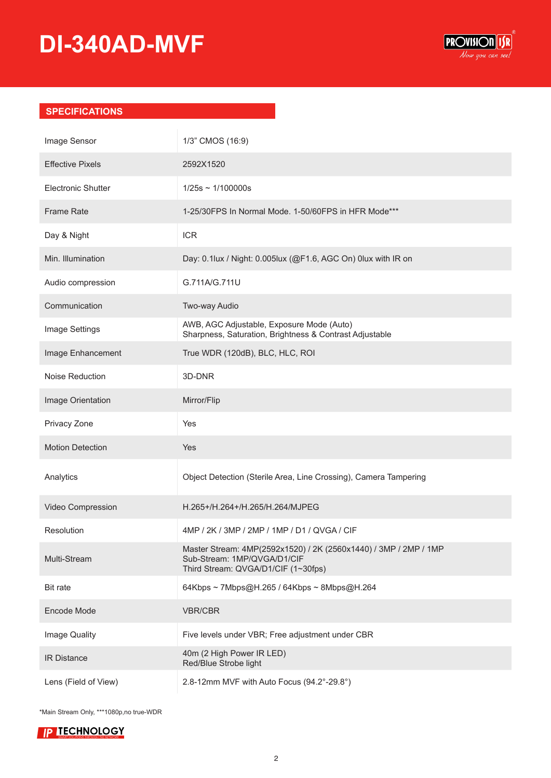# **DI-340AD-MVF**



#### **SPECIFICATIONS**

| Image Sensor              | 1/3" CMOS (16:9)                                                                                                                       |
|---------------------------|----------------------------------------------------------------------------------------------------------------------------------------|
| <b>Effective Pixels</b>   | 2592X1520                                                                                                                              |
| <b>Electronic Shutter</b> | $1/25s \sim 1/100000s$                                                                                                                 |
| <b>Frame Rate</b>         | 1-25/30FPS In Normal Mode. 1-50/60FPS in HFR Mode***                                                                                   |
| Day & Night               | <b>ICR</b>                                                                                                                             |
| Min. Illumination         | Day: 0.1lux / Night: 0.005lux (@F1.6, AGC On) 0lux with IR on                                                                          |
| Audio compression         | G.711A/G.711U                                                                                                                          |
| Communication             | Two-way Audio                                                                                                                          |
| Image Settings            | AWB, AGC Adjustable, Exposure Mode (Auto)<br>Sharpness, Saturation, Brightness & Contrast Adjustable                                   |
| Image Enhancement         | True WDR (120dB), BLC, HLC, ROI                                                                                                        |
| Noise Reduction           | 3D-DNR                                                                                                                                 |
| Image Orientation         | Mirror/Flip                                                                                                                            |
| Privacy Zone              | Yes                                                                                                                                    |
| <b>Motion Detection</b>   | Yes                                                                                                                                    |
| Analytics                 | Object Detection (Sterile Area, Line Crossing), Camera Tampering                                                                       |
| Video Compression         | H.265+/H.264+/H.265/H.264/MJPEG                                                                                                        |
| Resolution                | 4MP / 2K / 3MP / 2MP / 1MP / D1 / QVGA / CIF                                                                                           |
| Multi-Stream              | Master Stream: 4MP(2592x1520) / 2K (2560x1440) / 3MP / 2MP / 1MP<br>Sub-Stream: 1MP/QVGA/D1/CIF<br>Third Stream: QVGA/D1/CIF (1~30fps) |
| <b>Bit rate</b>           | 64Kbps ~ 7Mbps@H.265 / 64Kbps ~ 8Mbps@H.264                                                                                            |
| Encode Mode               | <b>VBR/CBR</b>                                                                                                                         |
| Image Quality             | Five levels under VBR; Free adjustment under CBR                                                                                       |
| <b>IR Distance</b>        | 40m (2 High Power IR LED)<br>Red/Blue Strobe light                                                                                     |
| Lens (Field of View)      | 2.8-12mm MVF with Auto Focus (94.2°-29.8°)                                                                                             |

\*Main Stream Only, \*\*\*1080p,no true-WDR

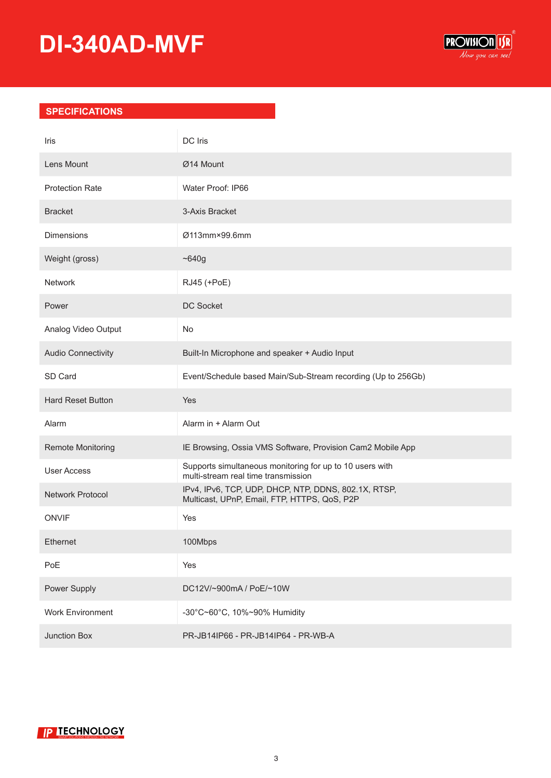# **DI-340AD-MVF**



#### **SPECIFICATIONS**

| Iris                      | DC Iris                                                                                              |
|---------------------------|------------------------------------------------------------------------------------------------------|
| Lens Mount                | Ø14 Mount                                                                                            |
| <b>Protection Rate</b>    | Water Proof: IP66                                                                                    |
| <b>Bracket</b>            | 3-Axis Bracket                                                                                       |
| <b>Dimensions</b>         | Ø113mm×99.6mm                                                                                        |
| Weight (gross)            | ~1640g                                                                                               |
| Network                   | RJ45 (+PoE)                                                                                          |
| Power                     | <b>DC Socket</b>                                                                                     |
| Analog Video Output       | No.                                                                                                  |
| <b>Audio Connectivity</b> | Built-In Microphone and speaker + Audio Input                                                        |
| SD Card                   | Event/Schedule based Main/Sub-Stream recording (Up to 256Gb)                                         |
| <b>Hard Reset Button</b>  | Yes                                                                                                  |
| Alarm                     | Alarm in + Alarm Out                                                                                 |
| Remote Monitoring         | IE Browsing, Ossia VMS Software, Provision Cam2 Mobile App                                           |
| <b>User Access</b>        | Supports simultaneous monitoring for up to 10 users with<br>multi-stream real time transmission      |
| Network Protocol          | IPv4, IPv6, TCP, UDP, DHCP, NTP, DDNS, 802.1X, RTSP,<br>Multicast, UPnP, Email, FTP, HTTPS, QoS, P2P |
| <b>ONVIF</b>              | Yes                                                                                                  |
| Ethernet                  | 100Mbps                                                                                              |
| PoE                       | Yes                                                                                                  |
| Power Supply              | DC12V/~900mA / PoE/~10W                                                                              |
| <b>Work Environment</b>   | -30°C~60°C, 10%~90% Humidity                                                                         |
| Junction Box              | PR-JB14IP66 - PR-JB14IP64 - PR-WB-A                                                                  |